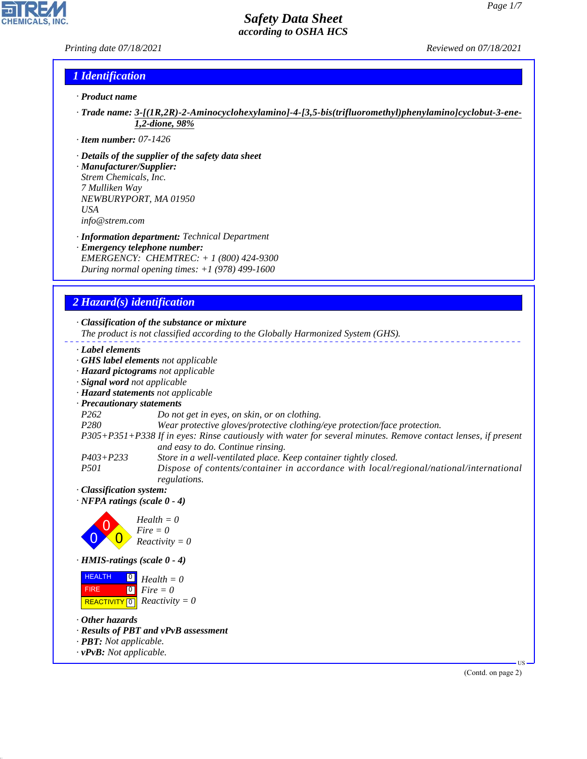### *Printing date 07/18/2021 Reviewed on 07/18/2021*

## *1 Identification*

- *· Product name*
- *· Trade name: 3-[(1R,2R)-2-Aminocyclohexylamino]-4-[3,5-bis(trifluoromethyl)phenylamino]cyclobut-3-ene-1,2-dione, 98%*
- *· Item number: 07-1426*
- *· Details of the supplier of the safety data sheet*
- *· Manufacturer/Supplier: Strem Chemicals, Inc. 7 Mulliken Way NEWBURYPORT, MA 01950 USA info@strem.com*
- *· Information department: Technical Department*
- *· Emergency telephone number: EMERGENCY: CHEMTREC: + 1 (800) 424-9300 During normal opening times: +1 (978) 499-1600*

## *2 Hazard(s) identification*

#### *· Classification of the substance or mixture*

*The product is not classified according to the Globally Harmonized System (GHS).*

- *· Label elements*
- *· GHS label elements not applicable*
- *· Hazard pictograms not applicable*
- *· Signal word not applicable*
- *· Hazard statements not applicable*
- *· Precautionary statements*
- *P262 Do not get in eyes, on skin, or on clothing.*
- *P280 Wear protective gloves/protective clothing/eye protection/face protection.*
- *P305+P351+P338 If in eyes: Rinse cautiously with water for several minutes. Remove contact lenses, if present and easy to do. Continue rinsing.*
- *P403+P233 Store in a well-ventilated place. Keep container tightly closed.*
- *P501 Dispose of contents/container in accordance with local/regional/national/international regulations.*
- *· Classification system:*
- *· NFPA ratings (scale 0 4)*



*· HMIS-ratings (scale 0 - 4)*

| <b>HEALTH</b> | $\overline{0}$ Health = 0                                   |
|---------------|-------------------------------------------------------------|
| <b>FIRE</b>   | $\begin{bmatrix} \bullet \\ \bullet \end{bmatrix}$ Fire = 0 |
|               | REACTIVITY 0 $Reactivity = 0$                               |

*· Other hazards*

44.1.1

- *· Results of PBT and vPvB assessment*
- *· PBT: Not applicable.*
- *· vPvB: Not applicable.*

(Contd. on page 2)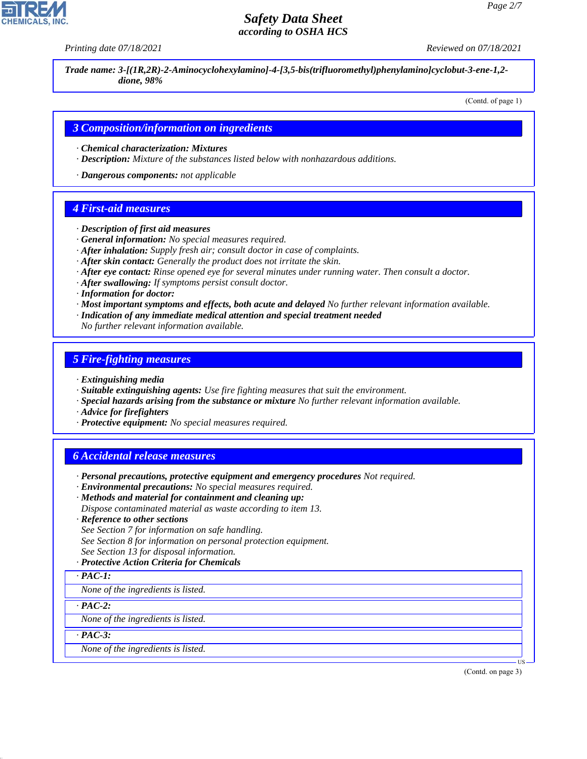*Printing date 07/18/2021 Reviewed on 07/18/2021*

*Trade name: 3-[(1R,2R)-2-Aminocyclohexylamino]-4-[3,5-bis(trifluoromethyl)phenylamino]cyclobut-3-ene-1,2 dione, 98%*

(Contd. of page 1)

### *3 Composition/information on ingredients*

- *· Chemical characterization: Mixtures*
- *· Description: Mixture of the substances listed below with nonhazardous additions.*

*· Dangerous components: not applicable*

#### *4 First-aid measures*

- *· Description of first aid measures*
- *· General information: No special measures required.*
- *· After inhalation: Supply fresh air; consult doctor in case of complaints.*
- *· After skin contact: Generally the product does not irritate the skin.*
- *· After eye contact: Rinse opened eye for several minutes under running water. Then consult a doctor.*
- *· After swallowing: If symptoms persist consult doctor.*
- *· Information for doctor:*
- *· Most important symptoms and effects, both acute and delayed No further relevant information available.*
- *· Indication of any immediate medical attention and special treatment needed*
- *No further relevant information available.*

### *5 Fire-fighting measures*

- *· Extinguishing media*
- *· Suitable extinguishing agents: Use fire fighting measures that suit the environment.*
- *· Special hazards arising from the substance or mixture No further relevant information available.*
- *· Advice for firefighters*
- *· Protective equipment: No special measures required.*

#### *6 Accidental release measures*

- *· Personal precautions, protective equipment and emergency procedures Not required.*
- *· Environmental precautions: No special measures required.*
- *· Methods and material for containment and cleaning up: Dispose contaminated material as waste according to item 13.*
- 
- *· Reference to other sections*
- *See Section 7 for information on safe handling.*
- *See Section 8 for information on personal protection equipment.*
- *See Section 13 for disposal information.*
- *· Protective Action Criteria for Chemicals*

#### *· PAC-1:*

*None of the ingredients is listed.*

#### *· PAC-2:*

*None of the ingredients is listed.*

*· PAC-3:*

44.1.1

*None of the ingredients is listed.*

(Contd. on page 3)

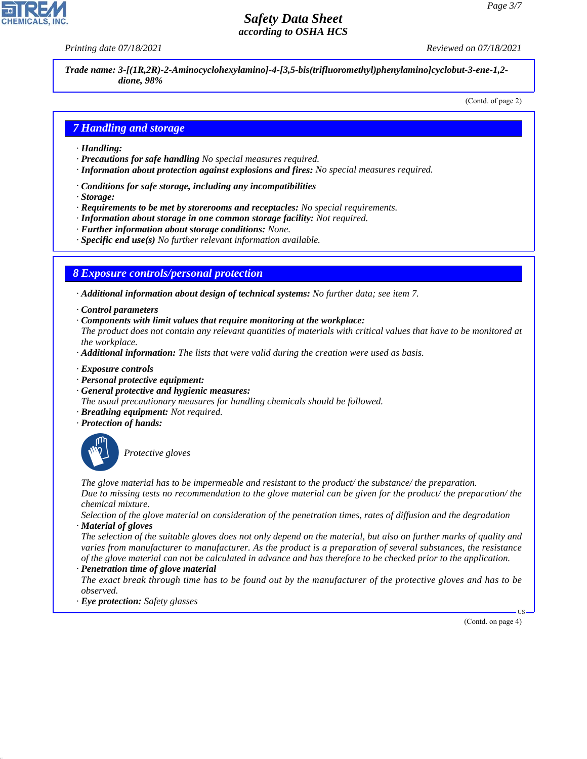*Printing date 07/18/2021 Reviewed on 07/18/2021*

*Trade name: 3-[(1R,2R)-2-Aminocyclohexylamino]-4-[3,5-bis(trifluoromethyl)phenylamino]cyclobut-3-ene-1,2 dione, 98%*

(Contd. of page 2)

## *7 Handling and storage*

- *· Handling:*
- *· Precautions for safe handling No special measures required.*
- *· Information about protection against explosions and fires: No special measures required.*
- *· Conditions for safe storage, including any incompatibilities*
- *· Storage:*
- *· Requirements to be met by storerooms and receptacles: No special requirements.*
- *· Information about storage in one common storage facility: Not required.*
- *· Further information about storage conditions: None.*
- *· Specific end use(s) No further relevant information available.*

### *8 Exposure controls/personal protection*

- *· Additional information about design of technical systems: No further data; see item 7.*
- *· Control parameters*
- *· Components with limit values that require monitoring at the workplace:*
- *The product does not contain any relevant quantities of materials with critical values that have to be monitored at the workplace.*
- *· Additional information: The lists that were valid during the creation were used as basis.*
- *· Exposure controls*
- *· Personal protective equipment:*
- *· General protective and hygienic measures:*
- *The usual precautionary measures for handling chemicals should be followed.*
- *· Breathing equipment: Not required.*
- *· Protection of hands:*



44.1.1

\_S*Protective gloves*

*The glove material has to be impermeable and resistant to the product/ the substance/ the preparation. Due to missing tests no recommendation to the glove material can be given for the product/ the preparation/ the chemical mixture.*

*Selection of the glove material on consideration of the penetration times, rates of diffusion and the degradation · Material of gloves*

*The selection of the suitable gloves does not only depend on the material, but also on further marks of quality and varies from manufacturer to manufacturer. As the product is a preparation of several substances, the resistance of the glove material can not be calculated in advance and has therefore to be checked prior to the application. · Penetration time of glove material*

*The exact break through time has to be found out by the manufacturer of the protective gloves and has to be observed.*

*· Eye protection: Safety glasses*

(Contd. on page 4)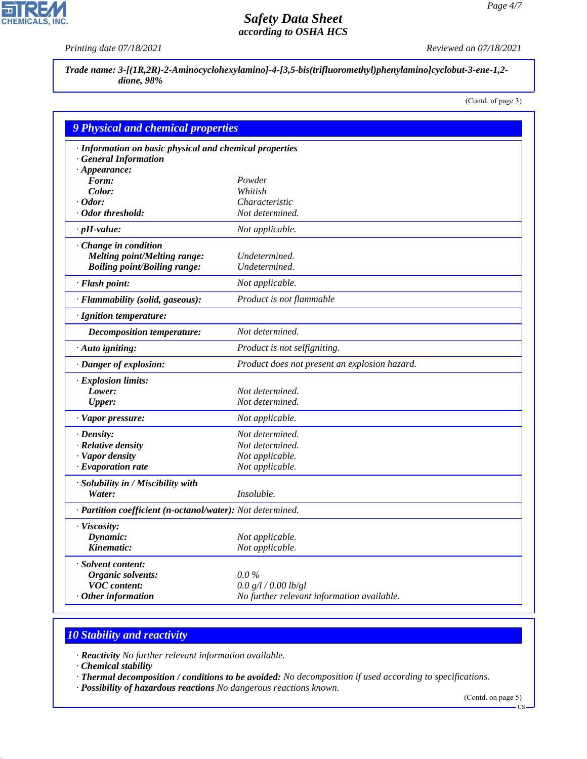ᄀ

**CHEMICALS, INC.** 

*Printing date 07/18/2021 Reviewed on 07/18/2021*

*Trade name: 3-[(1R,2R)-2-Aminocyclohexylamino]-4-[3,5-bis(trifluoromethyl)phenylamino]cyclobut-3-ene-1,2 dione, 98%*

(Contd. of page 3)

| <b>9 Physical and chemical properties</b>                  |                                               |
|------------------------------------------------------------|-----------------------------------------------|
| · Information on basic physical and chemical properties    |                                               |
| <b>General Information</b>                                 |                                               |
| $\cdot$ Appearance:                                        |                                               |
| Form:                                                      | Powder                                        |
| Color:                                                     | Whitish                                       |
| $\cdot$ Odor:                                              | Characteristic                                |
| Odor threshold:                                            | Not determined.                               |
| $\cdot$ pH-value:                                          | Not applicable.                               |
| Change in condition                                        |                                               |
| <b>Melting point/Melting range:</b>                        | Undetermined.                                 |
| <b>Boiling point/Boiling range:</b>                        | Undetermined.                                 |
| · Flash point:                                             | Not applicable.                               |
| · Flammability (solid, gaseous):                           | Product is not flammable                      |
| · Ignition temperature:                                    |                                               |
| <b>Decomposition temperature:</b>                          | Not determined.                               |
| · Auto igniting:                                           | Product is not selfigniting.                  |
| · Danger of explosion:                                     | Product does not present an explosion hazard. |
| · Explosion limits:                                        |                                               |
| Lower:                                                     | Not determined.                               |
| <b>Upper:</b>                                              | Not determined.                               |
| · Vapor pressure:                                          | Not applicable.                               |
| $\cdot$ Density:                                           | Not determined.                               |
| · Relative density                                         | Not determined.                               |
| · Vapor density                                            | Not applicable.                               |
| $\cdot$ Evaporation rate                                   | Not applicable.                               |
| · Solubility in / Miscibility with                         |                                               |
| Water:                                                     | <i>Insoluble.</i>                             |
| · Partition coefficient (n-octanol/water): Not determined. |                                               |
| · Viscosity:                                               |                                               |
| Dynamic:                                                   | Not applicable.                               |
| Kinematic:                                                 | Not applicable.                               |
| · Solvent content:                                         |                                               |
| Organic solvents:                                          | $0.0\%$                                       |
| <b>VOC</b> content:                                        | 0.0 g/l / 0.00 lb/gl                          |
| $·$ Other information                                      | No further relevant information available.    |

# *10 Stability and reactivity*

*· Reactivity No further relevant information available.*

*· Chemical stability*

44.1.1

*· Thermal decomposition / conditions to be avoided: No decomposition if used according to specifications.*

*· Possibility of hazardous reactions No dangerous reactions known.*

(Contd. on page 5)

US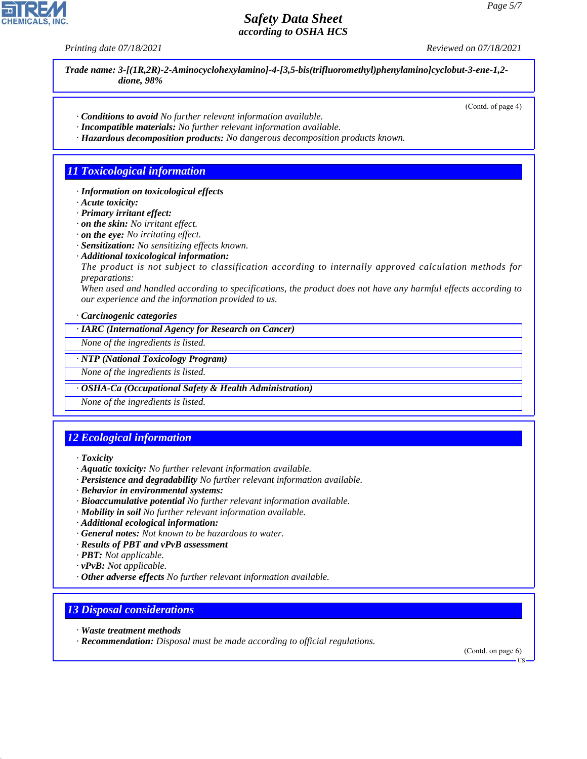*Printing date 07/18/2021 Reviewed on 07/18/2021*

*Trade name: 3-[(1R,2R)-2-Aminocyclohexylamino]-4-[3,5-bis(trifluoromethyl)phenylamino]cyclobut-3-ene-1,2 dione, 98%*

(Contd. of page 4)

- *· Conditions to avoid No further relevant information available.*
- *· Incompatible materials: No further relevant information available.*
- *· Hazardous decomposition products: No dangerous decomposition products known.*

## *11 Toxicological information*

- *· Information on toxicological effects*
- *· Acute toxicity:*
- *· Primary irritant effect:*
- *· on the skin: No irritant effect.*
- *· on the eye: No irritating effect.*
- *· Sensitization: No sensitizing effects known.*
- *· Additional toxicological information:*

*The product is not subject to classification according to internally approved calculation methods for preparations:*

*When used and handled according to specifications, the product does not have any harmful effects according to our experience and the information provided to us.*

*· Carcinogenic categories*

*· IARC (International Agency for Research on Cancer)*

*None of the ingredients is listed.*

#### *· NTP (National Toxicology Program)*

*None of the ingredients is listed.*

#### *· OSHA-Ca (Occupational Safety & Health Administration)*

*None of the ingredients is listed.*

# *12 Ecological information*

*· Toxicity*

- *· Aquatic toxicity: No further relevant information available.*
- *· Persistence and degradability No further relevant information available.*
- *· Behavior in environmental systems:*
- *· Bioaccumulative potential No further relevant information available.*
- *· Mobility in soil No further relevant information available.*
- *· Additional ecological information:*
- *· General notes: Not known to be hazardous to water.*
- *· Results of PBT and vPvB assessment*
- *· PBT: Not applicable.*
- *· vPvB: Not applicable.*
- *· Other adverse effects No further relevant information available.*

## *13 Disposal considerations*

*· Waste treatment methods*

44.1.1

*· Recommendation: Disposal must be made according to official regulations.*

(Contd. on page 6)

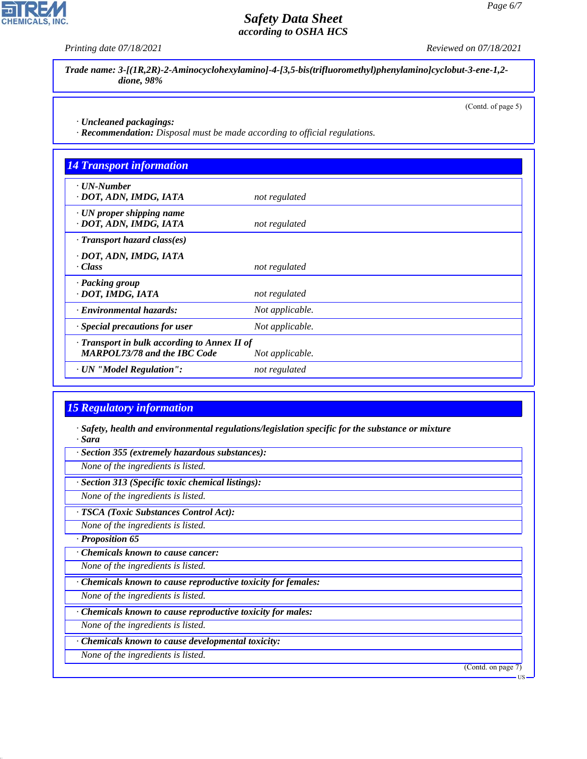*Printing date 07/18/2021 Reviewed on 07/18/2021*

*Trade name: 3-[(1R,2R)-2-Aminocyclohexylamino]-4-[3,5-bis(trifluoromethyl)phenylamino]cyclobut-3-ene-1,2 dione, 98%*

(Contd. of page 5)

*· Uncleaned packagings:*

*· Recommendation: Disposal must be made according to official regulations.*

| <b>14 Transport information</b>                                                     |                 |  |
|-------------------------------------------------------------------------------------|-----------------|--|
| $\cdot$ UN-Number<br>· DOT, ADN, IMDG, IATA                                         | not regulated   |  |
| $\cdot$ UN proper shipping name<br>· DOT, ADN, IMDG, IATA                           | not regulated   |  |
| $\cdot$ Transport hazard class(es)                                                  |                 |  |
| · DOT, ADN, IMDG, IATA<br>· Class                                                   | not regulated   |  |
| · Packing group<br>· DOT, IMDG, IATA                                                | not regulated   |  |
| · Environmental hazards:                                                            | Not applicable. |  |
| Special precautions for user                                                        | Not applicable. |  |
| · Transport in bulk according to Annex II of<br><b>MARPOL73/78 and the IBC Code</b> | Not applicable. |  |
| · UN "Model Regulation":                                                            | not regulated   |  |

## *15 Regulatory information*

*· Safety, health and environmental regulations/legislation specific for the substance or mixture · Sara*

*· Section 355 (extremely hazardous substances):*

*None of the ingredients is listed.*

*· Section 313 (Specific toxic chemical listings):*

*None of the ingredients is listed.*

*· TSCA (Toxic Substances Control Act):*

*None of the ingredients is listed.*

*· Proposition 65*

44.1.1

*· Chemicals known to cause cancer:*

*None of the ingredients is listed.*

*· Chemicals known to cause reproductive toxicity for females:*

*None of the ingredients is listed.*

*· Chemicals known to cause reproductive toxicity for males:*

*None of the ingredients is listed.*

*· Chemicals known to cause developmental toxicity:*

*None of the ingredients is listed.*

(Contd. on page 7)



US